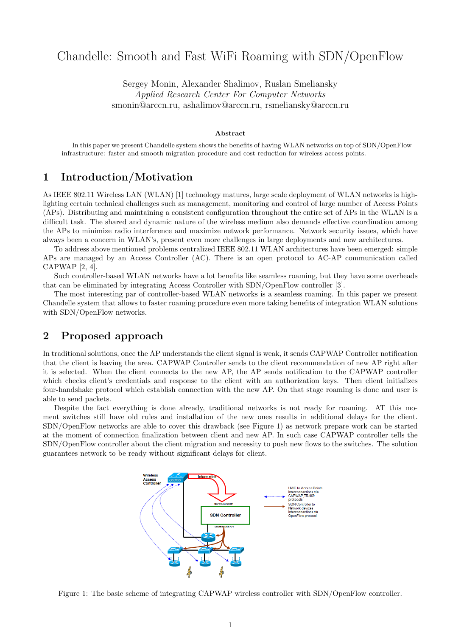# Chandelle: Smooth and Fast WiFi Roaming with SDN/OpenFlow

Sergey Monin, Alexander Shalimov, Ruslan Smeliansky Applied Research Center For Computer Networks smonin@arccn.ru, ashalimov@arccn.ru, rsmeliansky@arccn.ru

#### Abstract

In this paper we present Chandelle system shows the benefits of having WLAN networks on top of SDN/OpenFlow infrastructure: faster and smooth migration procedure and cost reduction for wireless access points.

#### 1 Introduction/Motivation

As IEEE 802.11 Wireless LAN (WLAN) [1] technology matures, large scale deployment of WLAN networks is highlighting certain technical challenges such as management, monitoring and control of large number of Access Points (APs). Distributing and maintaining a consistent configuration throughout the entire set of APs in the WLAN is a difficult task. The shared and dynamic nature of the wireless medium also demands effective coordination among the APs to minimize radio interference and maximize network performance. Network security issues, which have always been a concern in WLAN's, present even more challenges in large deployments and new architectures.

To address above mentioned problems centralized IEEE 802.11 WLAN architectures have been emerged: simple APs are managed by an Access Controller (AC). There is an open protocol to AC-AP communication called CAPWAP [2, 4].

Such controller-based WLAN networks have a lot benefits like seamless roaming, but they have some overheads that can be eliminated by integrating Access Controller with SDN/OpenFlow controller [3].

The most interesting par of controller-based WLAN networks is a seamless roaming. In this paper we present Chandelle system that allows to faster roaming procedure even more taking benefits of integration WLAN solutions with SDN/OpenFlow networks.

### 2 Proposed approach

In traditional solutions, once the AP understands the client signal is weak, it sends CAPWAP Controller notification that the client is leaving the area. CAPWAP Controller sends to the client recommendation of new AP right after it is selected. When the client connects to the new AP, the AP sends notification to the CAPWAP controller which checks client's credentials and response to the client with an authorization keys. Then client initializes four-handshake protocol which establish connection with the new AP. On that stage roaming is done and user is able to send packets.

Despite the fact everything is done already, traditional networks is not ready for roaming. AT this moment switches still have old rules and installation of the new ones results in additional delays for the client. SDN/OpenFlow networks are able to cover this drawback (see Figure 1) as network prepare work can be started at the moment of connection finalization between client and new AP. In such case CAPWAP controller tells the SDN/OpenFlow controller about the client migration and necessity to push new flows to the switches. The solution guarantees network to be ready without significant delays for client.



Figure 1: The basic scheme of integrating CAPWAP wireless controller with SDN/OpenFlow controller.